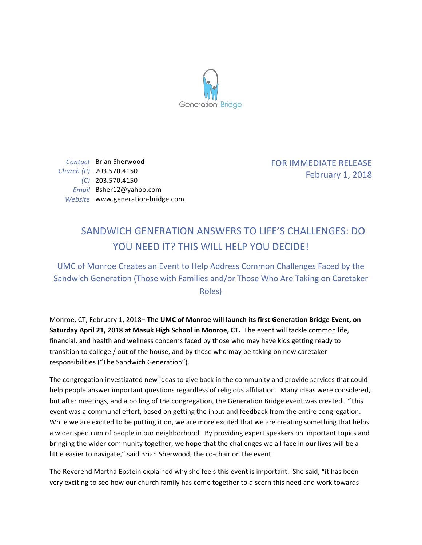

*Contact* Brian Sherwood *Church (P)* 203.570.4150 *(C)* 203.570.4150 *Email* Bsher12@yahoo.com *Website* www.generation-bridge.com FOR IMMEDIATE RELEASE February 1, 2018

## SANDWICH GENERATION ANSWERS TO LIFE'S CHALLENGES: DO YOU NEED IT? THIS WILL HELP YOU DECIDE!

UMC of Monroe Creates an Event to Help Address Common Challenges Faced by the Sandwich Generation (Those with Families and/or Those Who Are Taking on Caretaker Roles)

Monroe, CT, February 1, 2018– The UMC of Monroe will launch its first Generation Bridge Event, on **Saturday April 21, 2018 at Masuk High School in Monroe, CT.** The event will tackle common life, financial, and health and wellness concerns faced by those who may have kids getting ready to transition to college / out of the house, and by those who may be taking on new caretaker responsibilities ("The Sandwich Generation").

The congregation investigated new ideas to give back in the community and provide services that could help people answer important questions regardless of religious affiliation. Many ideas were considered, but after meetings, and a polling of the congregation, the Generation Bridge event was created. "This event was a communal effort, based on getting the input and feedback from the entire congregation. While we are excited to be putting it on, we are more excited that we are creating something that helps a wider spectrum of people in our neighborhood. By providing expert speakers on important topics and bringing the wider community together, we hope that the challenges we all face in our lives will be a little easier to navigate," said Brian Sherwood, the co-chair on the event.

The Reverend Martha Epstein explained why she feels this event is important. She said, "it has been very exciting to see how our church family has come together to discern this need and work towards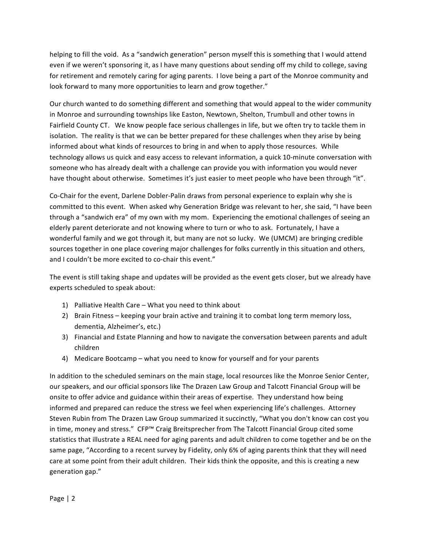helping to fill the void. As a "sandwich generation" person myself this is something that I would attend even if we weren't sponsoring it, as I have many questions about sending off my child to college, saving for retirement and remotely caring for aging parents. I love being a part of the Monroe community and look forward to many more opportunities to learn and grow together."

Our church wanted to do something different and something that would appeal to the wider community in Monroe and surrounding townships like Easton, Newtown, Shelton, Trumbull and other towns in Fairfield County CT. We know people face serious challenges in life, but we often try to tackle them in isolation. The reality is that we can be better prepared for these challenges when they arise by being informed about what kinds of resources to bring in and when to apply those resources. While technology allows us quick and easy access to relevant information, a quick 10-minute conversation with someone who has already dealt with a challenge can provide you with information you would never have thought about otherwise. Sometimes it's just easier to meet people who have been through "it".

Co-Chair for the event, Darlene Dobler-Palin draws from personal experience to explain why she is committed to this event. When asked why Generation Bridge was relevant to her, she said, "I have been through a "sandwich era" of my own with my mom. Experiencing the emotional challenges of seeing an elderly parent deteriorate and not knowing where to turn or who to ask. Fortunately, I have a wonderful family and we got through it, but many are not so lucky. We (UMCM) are bringing credible sources together in one place covering major challenges for folks currently in this situation and others, and I couldn't be more excited to co-chair this event."

The event is still taking shape and updates will be provided as the event gets closer, but we already have experts scheduled to speak about:

- 1) Palliative Health Care What you need to think about
- 2) Brain Fitness keeping your brain active and training it to combat long term memory loss, dementia, Alzheimer's, etc.)
- 3) Financial and Estate Planning and how to navigate the conversation between parents and adult children
- 4) Medicare Bootcamp what you need to know for yourself and for your parents

In addition to the scheduled seminars on the main stage, local resources like the Monroe Senior Center, our speakers, and our official sponsors like The Drazen Law Group and Talcott Financial Group will be onsite to offer advice and guidance within their areas of expertise. They understand how being informed and prepared can reduce the stress we feel when experiencing life's challenges. Attorney Steven Rubin from The Drazen Law Group summarized it succinctly, "What you don't know can cost you in time, money and stress." CFP™ Craig Breitsprecher from The Talcott Financial Group cited some statistics that illustrate a REAL need for aging parents and adult children to come together and be on the same page, "According to a recent survey by Fidelity, only 6% of aging parents think that they will need care at some point from their adult children. Their kids think the opposite, and this is creating a new generation gap."